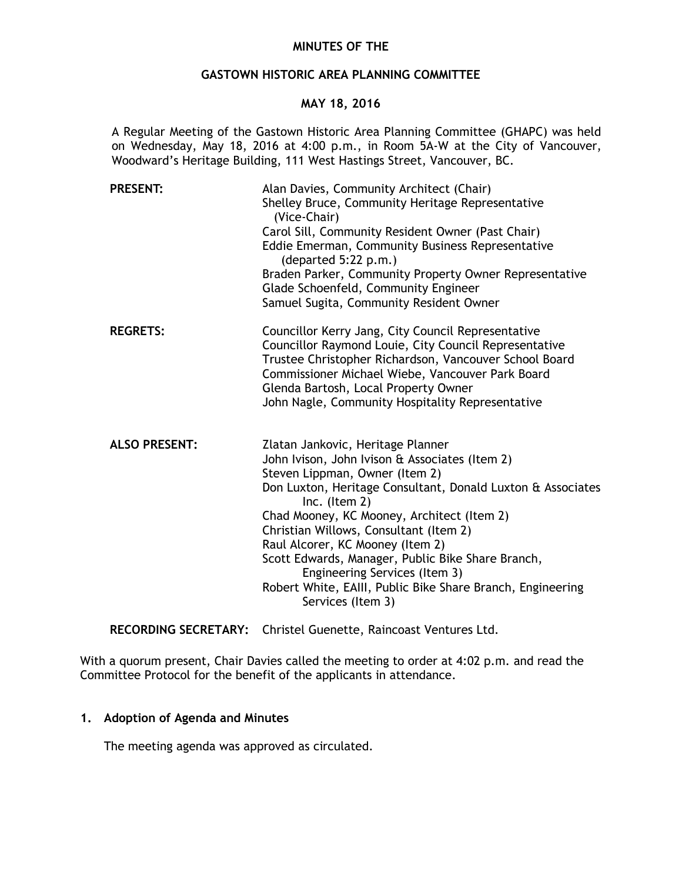### **MINUTES OF THE**

### **GASTOWN HISTORIC AREA PLANNING COMMITTEE**

### **MAY 18, 2016**

A Regular Meeting of the Gastown Historic Area Planning Committee (GHAPC) was held on Wednesday, May 18, 2016 at 4:00 p.m., in Room 5A-W at the City of Vancouver, Woodward's Heritage Building, 111 West Hastings Street, Vancouver, BC.

| <b>PRESENT:</b>      | Alan Davies, Community Architect (Chair)<br>Shelley Bruce, Community Heritage Representative<br>(Vice-Chair)<br>Carol Sill, Community Resident Owner (Past Chair)<br>Eddie Emerman, Community Business Representative<br>(departed 5:22 p.m.)<br>Braden Parker, Community Property Owner Representative<br>Glade Schoenfeld, Community Engineer<br>Samuel Sugita, Community Resident Owner                                                                                                                    |
|----------------------|---------------------------------------------------------------------------------------------------------------------------------------------------------------------------------------------------------------------------------------------------------------------------------------------------------------------------------------------------------------------------------------------------------------------------------------------------------------------------------------------------------------|
| <b>REGRETS:</b>      | Councillor Kerry Jang, City Council Representative<br>Councillor Raymond Louie, City Council Representative<br>Trustee Christopher Richardson, Vancouver School Board<br>Commissioner Michael Wiebe, Vancouver Park Board<br>Glenda Bartosh, Local Property Owner<br>John Nagle, Community Hospitality Representative                                                                                                                                                                                         |
| <b>ALSO PRESENT:</b> | Zlatan Jankovic, Heritage Planner<br>John Ivison, John Ivison & Associates (Item 2)<br>Steven Lippman, Owner (Item 2)<br>Don Luxton, Heritage Consultant, Donald Luxton & Associates<br>Inc. (Item $2$ )<br>Chad Mooney, KC Mooney, Architect (Item 2)<br>Christian Willows, Consultant (Item 2)<br>Raul Alcorer, KC Mooney (Item 2)<br>Scott Edwards, Manager, Public Bike Share Branch,<br>Engineering Services (Item 3)<br>Robert White, EAIII, Public Bike Share Branch, Engineering<br>Services (Item 3) |

**RECORDING SECRETARY:** Christel Guenette, Raincoast Ventures Ltd.

With a quorum present, Chair Davies called the meeting to order at 4:02 p.m. and read the Committee Protocol for the benefit of the applicants in attendance.

# **1. Adoption of Agenda and Minutes**

The meeting agenda was approved as circulated.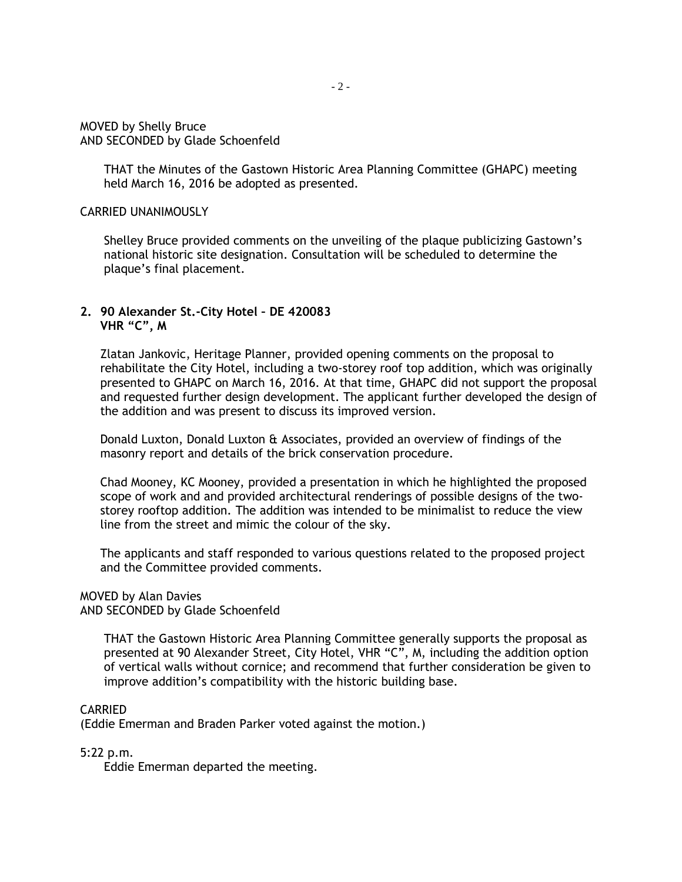MOVED by Shelly Bruce AND SECONDED by Glade Schoenfeld

> THAT the Minutes of the Gastown Historic Area Planning Committee (GHAPC) meeting held March 16, 2016 be adopted as presented.

### CARRIED UNANIMOUSLY

Shelley Bruce provided comments on the unveiling of the plaque publicizing Gastown's national historic site designation. Consultation will be scheduled to determine the plaque's final placement.

## **2. 90 Alexander St.-City Hotel – DE 420083 VHR "C", M**

Zlatan Jankovic, Heritage Planner, provided opening comments on the proposal to rehabilitate the City Hotel, including a two-storey roof top addition, which was originally presented to GHAPC on March 16, 2016. At that time, GHAPC did not support the proposal and requested further design development. The applicant further developed the design of the addition and was present to discuss its improved version.

Donald Luxton, Donald Luxton & Associates, provided an overview of findings of the masonry report and details of the brick conservation procedure.

Chad Mooney, KC Mooney, provided a presentation in which he highlighted the proposed scope of work and and provided architectural renderings of possible designs of the twostorey rooftop addition. The addition was intended to be minimalist to reduce the view line from the street and mimic the colour of the sky.

The applicants and staff responded to various questions related to the proposed project and the Committee provided comments.

### MOVED by Alan Davies

AND SECONDED by Glade Schoenfeld

THAT the Gastown Historic Area Planning Committee generally supports the proposal as presented at 90 Alexander Street, City Hotel, VHR "C", M, including the addition option of vertical walls without cornice; and recommend that further consideration be given to improve addition's compatibility with the historic building base.

### CARRIED

(Eddie Emerman and Braden Parker voted against the motion.)

### 5:22 p.m.

Eddie Emerman departed the meeting.